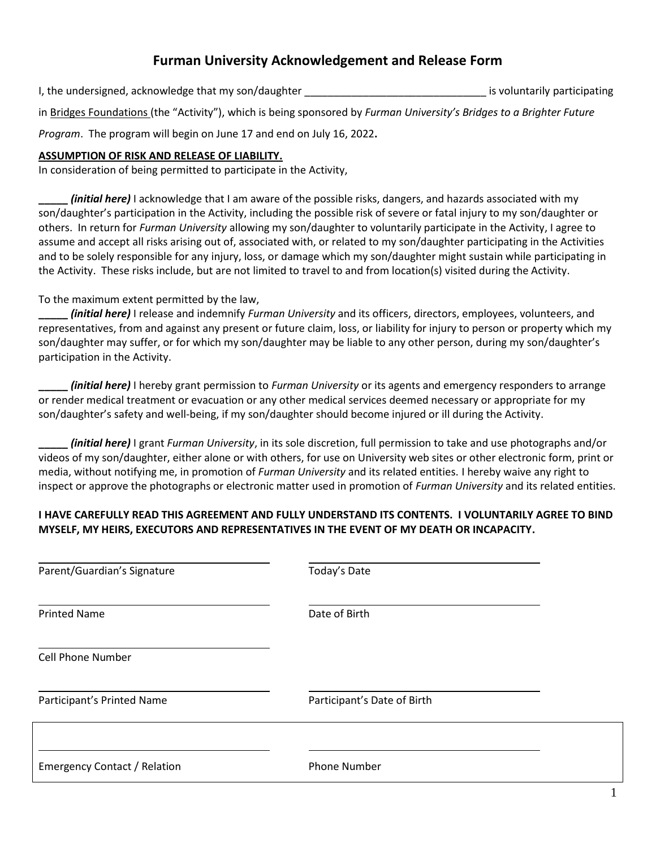# **Furman University Acknowledgement and Release Form**

I, the undersigned, acknowledge that my son/daughter \_\_\_\_\_\_\_\_\_\_\_\_\_\_\_\_\_\_\_\_\_\_\_\_\_\_\_\_\_\_\_ is voluntarily participating

in Bridges Foundations (the "Activity"), which is being sponsored by *Furman University's Bridges to a Brighter Future* 

*Program*. The program will begin on June 17 and end on July 16, 2022**.**

#### **ASSUMPTION OF RISK AND RELEASE OF LIABILITY.**

In consideration of being permitted to participate in the Activity,

**\_\_\_\_\_** *(initial here)* I acknowledge that I am aware of the possible risks, dangers, and hazards associated with my son/daughter's participation in the Activity, including the possible risk of severe or fatal injury to my son/daughter or others. In return for *Furman University* allowing my son/daughter to voluntarily participate in the Activity, I agree to assume and accept all risks arising out of, associated with, or related to my son/daughter participating in the Activities and to be solely responsible for any injury, loss, or damage which my son/daughter might sustain while participating in the Activity. These risks include, but are not limited to travel to and from location(s) visited during the Activity.

#### To the maximum extent permitted by the law,

**\_\_\_\_\_** *(initial here)* I release and indemnify *Furman University* and its officers, directors, employees, volunteers, and representatives, from and against any present or future claim, loss, or liability for injury to person or property which my son/daughter may suffer, or for which my son/daughter may be liable to any other person, during my son/daughter's participation in the Activity.

**\_\_\_\_\_** *(initial here)* I hereby grant permission to *Furman University* or its agents and emergency responders to arrange or render medical treatment or evacuation or any other medical services deemed necessary or appropriate for my son/daughter's safety and well-being, if my son/daughter should become injured or ill during the Activity.

**\_\_\_\_\_** *(initial here)* I grant *Furman University*, in its sole discretion, full permission to take and use photographs and/or videos of my son/daughter, either alone or with others, for use on University web sites or other electronic form, print or media, without notifying me, in promotion of *Furman University* and its related entities. I hereby waive any right to inspect or approve the photographs or electronic matter used in promotion of *Furman University* and its related entities.

### **I HAVE CAREFULLY READ THIS AGREEMENT AND FULLY UNDERSTAND ITS CONTENTS. I VOLUNTARILY AGREE TO BIND MYSELF, MY HEIRS, EXECUTORS AND REPRESENTATIVES IN THE EVENT OF MY DEATH OR INCAPACITY.**

| Parent/Guardian's Signature         | Today's Date                |  |
|-------------------------------------|-----------------------------|--|
| <b>Printed Name</b>                 | Date of Birth               |  |
| <b>Cell Phone Number</b>            |                             |  |
| Participant's Printed Name          | Participant's Date of Birth |  |
| <b>Emergency Contact / Relation</b> | <b>Phone Number</b>         |  |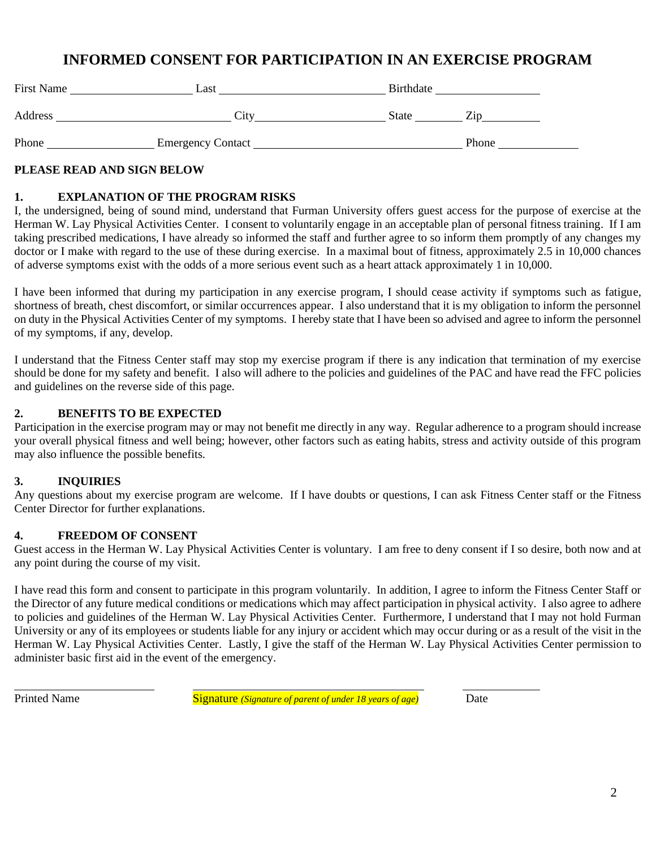# **INFORMED CONSENT FOR PARTICIPATION IN AN EXERCISE PROGRAM**

| <b>First Name</b> | Last                     | Birthdate    |       |
|-------------------|--------------------------|--------------|-------|
| Address           | City                     | <b>State</b> | Zin   |
| Phone             | <b>Emergency Contact</b> |              | Phone |

#### **PLEASE READ AND SIGN BELOW**

#### **1. EXPLANATION OF THE PROGRAM RISKS**

I, the undersigned, being of sound mind, understand that Furman University offers guest access for the purpose of exercise at the Herman W. Lay Physical Activities Center. I consent to voluntarily engage in an acceptable plan of personal fitness training. If I am taking prescribed medications, I have already so informed the staff and further agree to so inform them promptly of any changes my doctor or I make with regard to the use of these during exercise. In a maximal bout of fitness, approximately 2.5 in 10,000 chances of adverse symptoms exist with the odds of a more serious event such as a heart attack approximately 1 in 10,000.

I have been informed that during my participation in any exercise program, I should cease activity if symptoms such as fatigue, shortness of breath, chest discomfort, or similar occurrences appear. I also understand that it is my obligation to inform the personnel on duty in the Physical Activities Center of my symptoms. I hereby state that I have been so advised and agree to inform the personnel of my symptoms, if any, develop.

I understand that the Fitness Center staff may stop my exercise program if there is any indication that termination of my exercise should be done for my safety and benefit. I also will adhere to the policies and guidelines of the PAC and have read the FFC policies and guidelines on the reverse side of this page.

#### **2. BENEFITS TO BE EXPECTED**

Participation in the exercise program may or may not benefit me directly in any way. Regular adherence to a program should increase your overall physical fitness and well being; however, other factors such as eating habits, stress and activity outside of this program may also influence the possible benefits.

### **3. INQUIRIES**

Any questions about my exercise program are welcome. If I have doubts or questions, I can ask Fitness Center staff or the Fitness Center Director for further explanations.

### **4. FREEDOM OF CONSENT**

Guest access in the Herman W. Lay Physical Activities Center is voluntary. I am free to deny consent if I so desire, both now and at any point during the course of my visit.

I have read this form and consent to participate in this program voluntarily. In addition, I agree to inform the Fitness Center Staff or the Director of any future medical conditions or medications which may affect participation in physical activity. I also agree to adhere to policies and guidelines of the Herman W. Lay Physical Activities Center. Furthermore, I understand that I may not hold Furman University or any of its employees or students liable for any injury or accident which may occur during or as a result of the visit in the Herman W. Lay Physical Activities Center. Lastly, I give the staff of the Herman W. Lay Physical Activities Center permission to administer basic first aid in the event of the emergency.

Printed Name Signature *(Signature of parent of under 18 years of age)* Date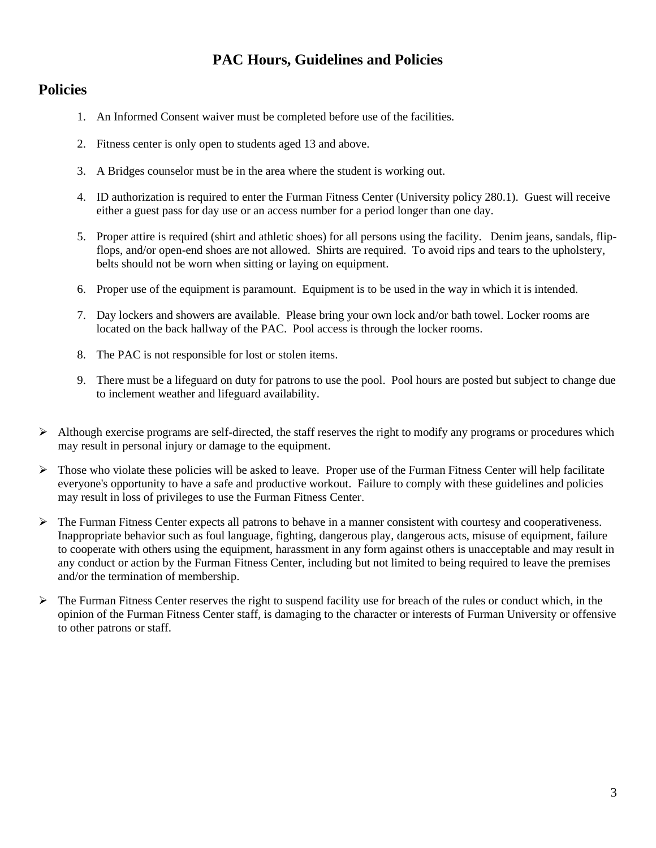# **PAC Hours, Guidelines and Policies**

# **Policies**

- 1. An Informed Consent waiver must be completed before use of the facilities.
- 2. Fitness center is only open to students aged 13 and above.
- 3. A Bridges counselor must be in the area where the student is working out.
- 4. ID authorization is required to enter the Furman Fitness Center (University policy 280.1). Guest will receive either a guest pass for day use or an access number for a period longer than one day.
- 5. Proper attire is required (shirt and athletic shoes) for all persons using the facility. Denim jeans, sandals, flipflops, and/or open-end shoes are not allowed. Shirts are required. To avoid rips and tears to the upholstery, belts should not be worn when sitting or laying on equipment.
- 6. Proper use of the equipment is paramount. Equipment is to be used in the way in which it is intended.
- 7. Day lockers and showers are available. Please bring your own lock and/or bath towel. Locker rooms are located on the back hallway of the PAC. Pool access is through the locker rooms.
- 8. The PAC is not responsible for lost or stolen items.
- 9. There must be a lifeguard on duty for patrons to use the pool. Pool hours are posted but subject to change due to inclement weather and lifeguard availability.
- $\triangleright$  Although exercise programs are self-directed, the staff reserves the right to modify any programs or procedures which may result in personal injury or damage to the equipment.
- $\triangleright$  Those who violate these policies will be asked to leave. Proper use of the Furman Fitness Center will help facilitate everyone's opportunity to have a safe and productive workout. Failure to comply with these guidelines and policies may result in loss of privileges to use the Furman Fitness Center.
- $\triangleright$  The Furman Fitness Center expects all patrons to behave in a manner consistent with courtesy and cooperativeness. Inappropriate behavior such as foul language, fighting, dangerous play, dangerous acts, misuse of equipment, failure to cooperate with others using the equipment, harassment in any form against others is unacceptable and may result in any conduct or action by the Furman Fitness Center, including but not limited to being required to leave the premises and/or the termination of membership.
- ➢ The Furman Fitness Center reserves the right to suspend facility use for breach of the rules or conduct which, in the opinion of the Furman Fitness Center staff, is damaging to the character or interests of Furman University or offensive to other patrons or staff.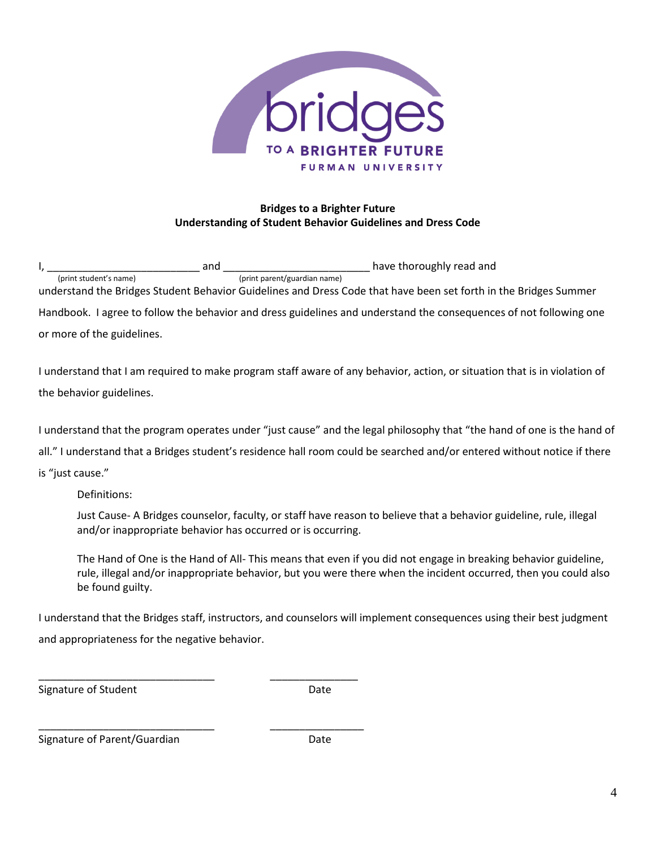

## **Bridges to a Brighter Future Understanding of Student Behavior Guidelines and Dress Code**

 $I, \underline{\hspace{1cm}}$   $\hspace{1cm}}$   $\hspace{1cm}}$  have thoroughly read and  $\hspace{1cm}$  (print parent/guardian name) (print parent/guardian name) understand the Bridges Student Behavior Guidelines and Dress Code that have been set forth in the Bridges Summer Handbook. I agree to follow the behavior and dress guidelines and understand the consequences of not following one or more of the guidelines.

I understand that I am required to make program staff aware of any behavior, action, or situation that is in violation of the behavior guidelines.

I understand that the program operates under "just cause" and the legal philosophy that "the hand of one is the hand of

all." I understand that a Bridges student's residence hall room could be searched and/or entered without notice if there

is "just cause."

Definitions:

Just Cause- A Bridges counselor, faculty, or staff have reason to believe that a behavior guideline, rule, illegal and/or inappropriate behavior has occurred or is occurring.

The Hand of One is the Hand of All- This means that even if you did not engage in breaking behavior guideline, rule, illegal and/or inappropriate behavior, but you were there when the incident occurred, then you could also be found guilty.

I understand that the Bridges staff, instructors, and counselors will implement consequences using their best judgment and appropriateness for the negative behavior.

Signature of Student Date

\_\_\_\_\_\_\_\_\_\_\_\_\_\_\_\_\_\_\_\_\_\_\_\_\_\_\_\_\_\_ \_\_\_\_\_\_\_\_\_\_\_\_\_\_\_\_ Signature of Parent/Guardian Date

\_\_\_\_\_\_\_\_\_\_\_\_\_\_\_\_\_\_\_\_\_\_\_\_\_\_\_\_\_\_ \_\_\_\_\_\_\_\_\_\_\_\_\_\_\_

4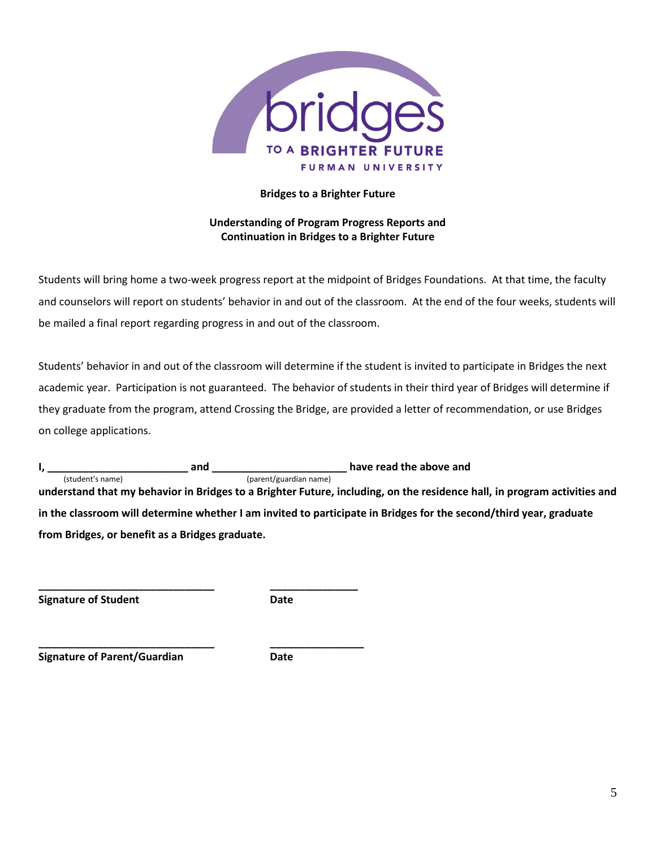

#### **Bridges to a Brighter Future**

### **Understanding of Program Progress Reports and Continuation in Bridges to a Brighter Future**

Students will bring home a two-week progress report at the midpoint of Bridges Foundations. At that time, the faculty and counselors will report on students' behavior in and out of the classroom. At the end of the four weeks, students will be mailed a final report regarding progress in and out of the classroom.

Students' behavior in and out of the classroom will determine if the student is invited to participate in Bridges the next academic year. Participation is not guaranteed. The behavior of students in their third year of Bridges will determine if they graduate from the program, attend Crossing the Bridge, are provided a letter of recommendation, or use Bridges on college applications.

**I, \_\_\_\_\_\_\_\_\_\_\_\_\_\_\_\_\_\_\_\_\_\_\_\_ and \_\_\_\_\_\_\_\_\_\_\_\_\_\_\_\_\_\_\_\_\_\_\_ have read the above and**  (student's name) (parent/guardian name) **understand that my behavior in Bridges to a Brighter Future, including, on the residence hall, in program activities and in the classroom will determine whether I am invited to participate in Bridges for the second/third year, graduate from Bridges, or benefit as a Bridges graduate.**

**Signature of Student Date**

**\_\_\_\_\_\_\_\_\_\_\_\_\_\_\_\_\_\_\_\_\_\_\_\_\_\_\_\_\_\_ \_\_\_\_\_\_\_\_\_\_\_\_\_\_\_**

**\_\_\_\_\_\_\_\_\_\_\_\_\_\_\_\_\_\_\_\_\_\_\_\_\_\_\_\_\_\_ \_\_\_\_\_\_\_\_\_\_\_\_\_\_\_\_**

**Signature of Parent/Guardian Date**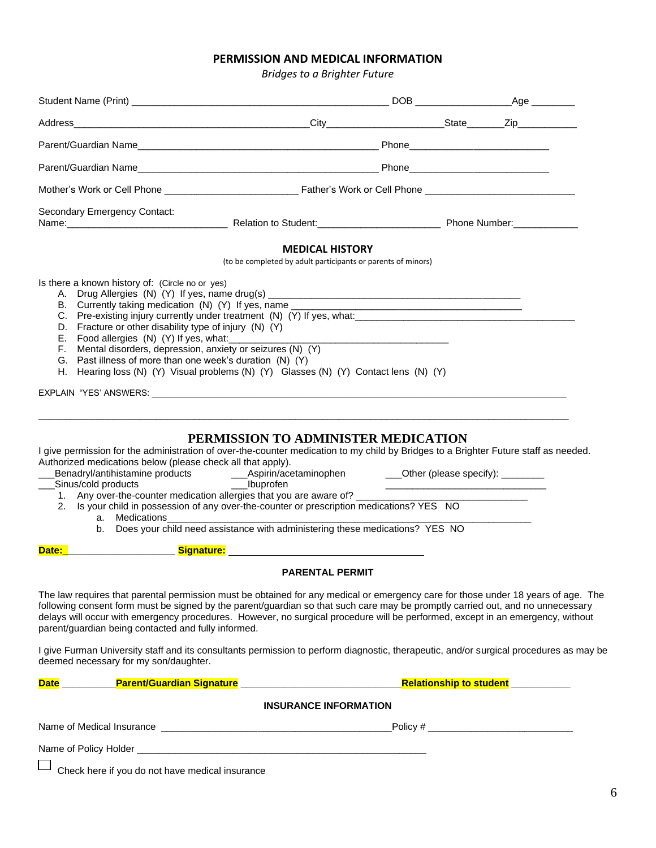# **PERMISSION AND MEDICAL INFORMATION**

*Bridges to a Brighter Future*

| Secondary Emergency Contact:<br>Name: Name: Name: Name: Name: Name: Name: Name: Name: Name: Name: Name: Name: Name: Name: Name: Name: Name: Name: Name: Name: Name: Name: Name: Name: Name: Name: Name: Name: Name: Name: Name: Name: Name: Name: Name: Name:                                                                                                                                                                                                                          |                                                                                        |  |
|----------------------------------------------------------------------------------------------------------------------------------------------------------------------------------------------------------------------------------------------------------------------------------------------------------------------------------------------------------------------------------------------------------------------------------------------------------------------------------------|----------------------------------------------------------------------------------------|--|
|                                                                                                                                                                                                                                                                                                                                                                                                                                                                                        | <b>MEDICAL HISTORY</b><br>(to be completed by adult participants or parents of minors) |  |
| Is there a known history of: (Circle no or yes)<br>B. Currently taking medication (N) (Y) If yes, name _____________________________<br>D. Fracture or other disability type of injury (N) (Y)<br>E. Food allergies (N) (Y) If yes, what:<br>F. Mental disorders, depression, anxiety or seizures (N) (Y)<br>G. Past illness of more than one week's duration (N) (Y)<br>H. Hearing loss (N) (Y) Visual problems (N) (Y) Glasses (N) (Y) Contact lens (N) (Y)                          |                                                                                        |  |
| I give permission for the administration of over-the-counter medication to my child by Bridges to a Brighter Future staff as needed.<br>Authorized medications below (please check all that apply).<br>1. Any over-the-counter medication allergies that you are aware of?<br>2. Is your child in possession of any over-the-counter or prescription medications? YES NO<br>a. Medications<br>b. Does your child need assistance with administering these medications? YES NO<br>Date: | PERMISSION TO ADMINISTER MEDICATION                                                    |  |
|                                                                                                                                                                                                                                                                                                                                                                                                                                                                                        | <b>PARENTAL PERMIT</b>                                                                 |  |
| The law requires that parental permission must be obtained for any medical or emergency care for those under 18 years of age. The<br>following consent form must be signed by the parent/guardian so that such care may be promptly carried out, and no unnecessary<br>delays will occur with emergency procedures. However, no surgical procedure will be performed, except in an emergency, without<br>parent/guardian being contacted and fully informed.                           |                                                                                        |  |
| I give Furman University staff and its consultants permission to perform diagnostic, therapeutic, and/or surgical procedures as may be<br>deemed necessary for my son/daughter.                                                                                                                                                                                                                                                                                                        |                                                                                        |  |
|                                                                                                                                                                                                                                                                                                                                                                                                                                                                                        |                                                                                        |  |
|                                                                                                                                                                                                                                                                                                                                                                                                                                                                                        | <b>INSURANCE INFORMATION</b>                                                           |  |
|                                                                                                                                                                                                                                                                                                                                                                                                                                                                                        |                                                                                        |  |
|                                                                                                                                                                                                                                                                                                                                                                                                                                                                                        |                                                                                        |  |
| Check here if you do not have medical insurance                                                                                                                                                                                                                                                                                                                                                                                                                                        |                                                                                        |  |